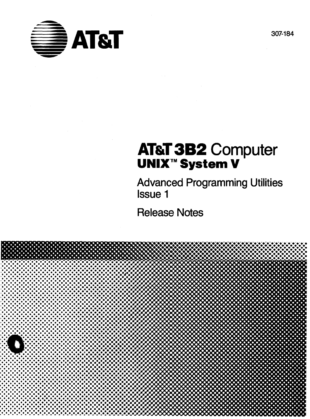

# **AT&T 3B2 Computer**<br>**UNIX™ System V**

**Advanced Programming Utilities Issue 1** 

**Release Notes** 

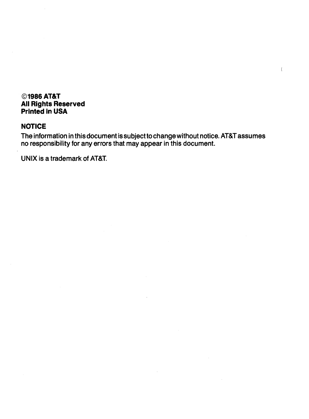©1986 AT&T All Rights Reserved Printed in USA

#### **NOTICE**

The information in this document is subject to change without notice. AT&T assumes no responsibility for any errors that may appear in this document.

 $\overline{1}$ 

UNIX is a trademark of AT&T.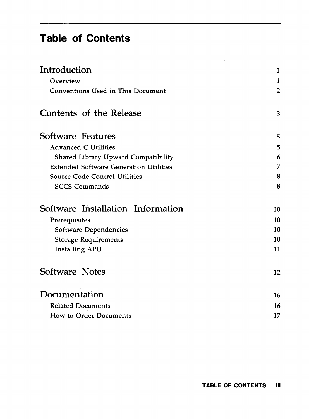# **Table of Contents**

| Introduction                                  | 1  |  |  |  |
|-----------------------------------------------|----|--|--|--|
| Overview                                      |    |  |  |  |
| Conventions Used in This Document             |    |  |  |  |
| Contents of the Release                       | 3  |  |  |  |
| Software Features                             | 5  |  |  |  |
| <b>Advanced C Utilities</b>                   | 5  |  |  |  |
| Shared Library Upward Compatibility           | 6  |  |  |  |
| <b>Extended Software Generation Utilities</b> | 7  |  |  |  |
| Source Code Control Utilities                 |    |  |  |  |
| <b>SCCS Commands</b>                          | 8  |  |  |  |
| Software Installation Information             | 10 |  |  |  |
| Prerequisites                                 | 10 |  |  |  |
| Software Dependencies                         | 10 |  |  |  |
| <b>Storage Requirements</b>                   | 10 |  |  |  |
| Installing APU                                | 11 |  |  |  |
| Software Notes                                | 12 |  |  |  |
| Documentation                                 | 16 |  |  |  |
| <b>Related Documents</b>                      | 16 |  |  |  |
| How to Order Documents                        | 17 |  |  |  |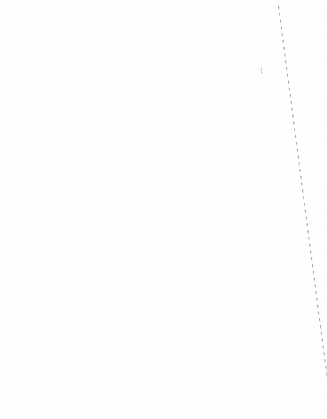$\left\langle \cdot \right\rangle$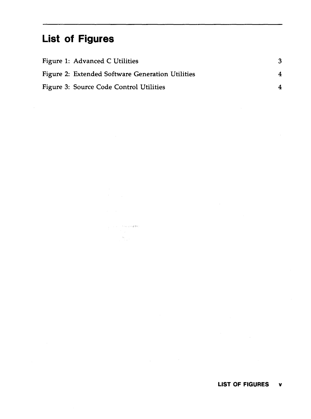# **List of Figures**

| Figure 1: Advanced C Utilities                   |  |
|--------------------------------------------------|--|
| Figure 2: Extended Software Generation Utilities |  |
| Figure 3: Source Code Control Utilities          |  |

 $\gamma$  ,  $\gamma$  ,  $\gamma$  ,  $\alpha$  opens  $\frac{1}{2} \frac{m_{\rm{p}}}{\sigma_{\rm{p}}^2}$  .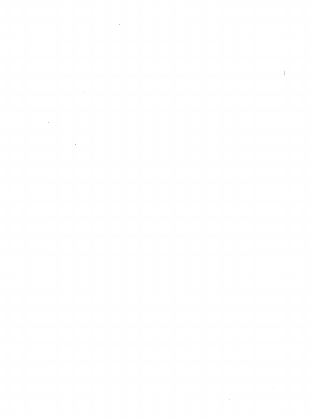$\left| \right|$  $\mathcal{L}^{\text{max}}_{\text{max}}$  and  $\mathcal{L}^{\text{max}}_{\text{max}}$  $\sim 4$  .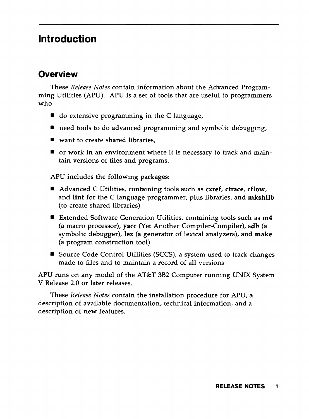# **Introduction**

## **Overview**

These *Release Notes* contain information about the Advanced Programming Utilities (APU). APU is a set of tools that are useful to programmers who

- $\blacksquare$  do extensive programming in the C language,
- $\blacksquare$  need tools to do advanced programming and symbolic debugging,
- $\blacksquare$  want to create shared libraries,
- or work in an environment where it is necessary to track and maintain versions of files and programs.

APU includes the following packages:

- Advanced C Utilities, containing tools such as cxref, ctrace, cflow, and lint for the C language programmer, plus libraries, and mkshlib (to create shared libraries)
- Extended Software Generation Utilities, containing tools such as  $m4$ (a macro processor), yacc (Yet Another Compiler-Compiler), sdb (a symbolic debugger), lex (a generator of lexical analyzers), and make (a program construction tool)
- Source Code Control Utilities (SCCS), a system used to track changes made to files and to maintain a record of all versions

APU runs on any model of the AT&T 3B2 Computer running UNIX System V Release 2.0 or later releases.

These *Release Notes* contain the installation procedure for APU, a description of available documentation, technical information, and a description of new features.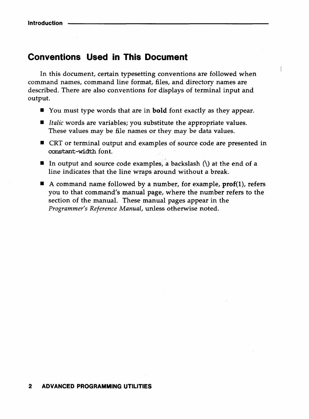## **Conventions Used in This Document**

In this document, certain typesetting conventions are followed when command names, command line format, files, and directory names are described. There are also conventions for displays of terminal input and output.

- You must type words that are in **bold** font exactly as they appear.
- *Italic* words are variables; you substitute the appropriate values. These values may be file names or they may be data values.
- CRT or terminal output and examples of source code are presented in constant-width font.
- $\blacksquare$  In output and source code examples, a backslash  $\langle \rangle$  at the end of a line indicates that the line wraps around without a break.
- A command name followed by a number, for example,  $\text{prof}(1)$ , refers you to that command's manual page, where the number refers to the section of the manual. These manual pages appear in the *Programmer's Reference Manual,* unless otherwise noted.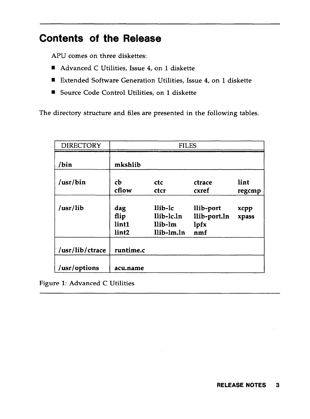# **Contents of the Release**

APU comes on three diskettes:

- Advanced C Utilities, Issue 4, on 1 diskette
- Extended Software Generation Utilities, Issue 4, on 1 diskette
- $\blacksquare$  Source Code Control Utilities, on 1 diskette

The directory structure and files are presented in the following tables.

| <b>DIRECTORY</b> | <b>FILES</b>                              |                                                |                                          |                |
|------------------|-------------------------------------------|------------------------------------------------|------------------------------------------|----------------|
| /bin             | mkshlib                                   |                                                |                                          |                |
| /usr/bin         | cb<br>cflow                               | <sub>ctc</sub><br>ctcr                         | ctrace<br>cxref                          | lint<br>regcmp |
| /usr/lib         | dag<br>flip<br>lint1<br>lint <sub>2</sub> | llib-lc<br>llib-lc.ln<br>llib-lm<br>llib-lm.ln | llib-port<br>llib-port.ln<br>lpfx<br>nmf | xcpp<br>xpass  |
| /usr/lib/ctrace  | runtime.c                                 |                                                |                                          |                |
| /usr/options     | acu.name                                  |                                                |                                          |                |

Figure 1: Advanced C Utilities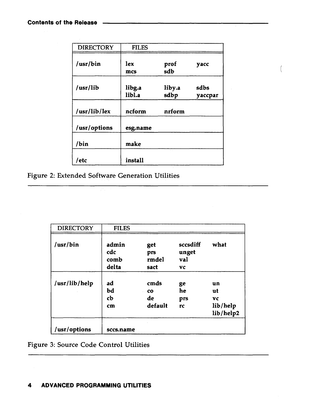| <b>DIRECTORY</b> | <b>FILES</b>     |                |                 |
|------------------|------------------|----------------|-----------------|
| /usr/bin         | lex<br>mcs       | prof<br>sdb    | yacc            |
| /usr/lib         | libg.a<br>libl.a | liby.a<br>sdbp | sdbs<br>yaccpar |
| /usr/lib/lex     | ncform           | nrform         |                 |
| /usr/options     | esg.name         |                |                 |
| /bin             | make             |                |                 |
| /etc             | install          |                |                 |

 $\overline{(\ }$ 

Figure 2: Extended Software Generation Utilities

| <b>DIRECTORY</b> | <b>FILES</b>                  |                              |                                |                                         |
|------------------|-------------------------------|------------------------------|--------------------------------|-----------------------------------------|
| /usr/bin         | admin<br>cdc<br>comb<br>delta | get<br>prs<br>rmdel<br>sact  | sccsdiff<br>unget<br>val<br>VC | what                                    |
| /usr/lib/help    | ad<br>bd<br>cb<br>cm          | cmds<br>CO.<br>de<br>default | ge<br>he<br>prs<br>rc          | un<br>ut<br>VC<br>lib/help<br>lib/help2 |
| /usr/options     | sccs.name                     |                              |                                |                                         |

Figure 3: Source Code Control Utilities

#### 4 ADVANCED PROGRAMMING UTILITIES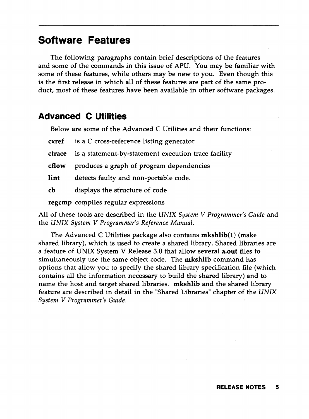# **Software Features**

The following paragraphs contain brief descriptions of the features and some of the commands in this issue of APU. You may be familiar with some of these features, while others may be new to you. Even though this is the first release in which all of these features are part of the same product, most of these features have been available in other software packages.

## **Advanced C Utilities**

Below are some of the Advanced C Utilities and their functions:

| cxref  | is a C cross-reference listing generator             |
|--------|------------------------------------------------------|
| ctrace | is a statement-by-statement execution trace facility |
| cflow  | produces a graph of program dependencies             |
| lint   | detects faulty and non-portable code.                |
| cb     | displays the structure of code                       |
|        | regcmp compiles regular expressions                  |

All of these tools are described in the *UNIX System V Programmer's Guide* and the *UNIX System V Programmer's Reference Manual.* 

The Advanced C Utilities package also contains mkshlib(l) (make shared library), which is used to create a shared library. Shared libraries are a feature of UNIX System V Release 3.0 that allow several a.out files to simultaneously use the same object code. The mkshlib command has options that allow you to specify the shared library specification file (which contains all the information necessary to build the shared library) and to name the host and target shared libraries. mkshlib and the shared library feature are described in detail in the "Shared Libraries" chapter of the *UNIX System V Progrqmmer's Guide.*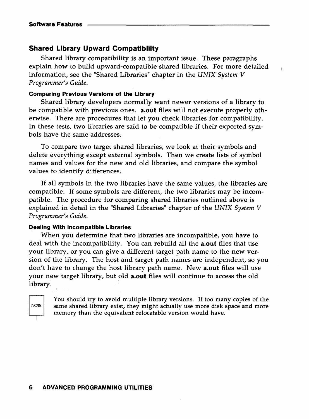#### **Shared Library Upward Compatibility**

Shared library compatibility is an important issue. These paragraphs explain how to build upward-compatible shared libraries. For more detailed information, see the "Shared Libraries" chapter in the *UNIX System V Programmer's Guide.* 

#### **Comparing Previous Versions of the Library**

Shared library developers normally want newer versions of a library to be compatible with previous ones. **a.out** files will not execute properly otherwise. There are procedures that let you check libraries for compatibility. In these tests, two libraries are said to be compatible if their exported symbols have the same addresses.

To compare two target shared libraries, we look at their symbols and delete everything except external symbols. Then we create lists of symbol names and values for the new and old libraries, and compare the symbol values to identify differences.

If all symbols in the two libraries have the same values, the libraries are compatible. If some symbols are different, the two libraries may be incompatible. The procedure for comparing shared libraries outlined above is explained in detail in the "Shared Libraries" chapter of the *UNIX System V Programmer's Guide.* 

#### **Dealing With Incompatible Libraries**

When you determine that two libraries are incompatible, you have to deal with the incompatibility. You can rebuild all the **a.out** files that use your library, or you can give a different target path name to the new version of the library. The host and target path names are independent, so you don't have to change the host library path name. New **a.out** files will use your new target library, but old **a.out** files will continue to access the old library.



You should try to avoid multiple library versions. If too many copies of the same shared library exist, they might actually use more disk space and more memory than the equivalent relocatable version would have.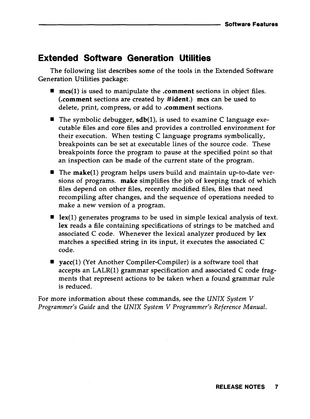## **Extended Software Generation Utilities**

The following list describes some of the tools in the Extended Software Generation Utilities package:

- $\blacksquare$  mcs(1) is used to manipulate the .comment sections in object files. (.comment sections are created by #ident.) mcs can be used to delete, print, compress, or add to .comment sections.
- $\blacksquare$  The symbolic debugger,  $\text{sdb}(1)$ , is used to examine C language executable files and core files and provides a controlled environment for their execution. When testing C language programs symbolically, breakpoints can be set at executable lines of the source code. These breakpoints force the program to pause at the specified point so that an inspection can be made of the current state of the program.
- **The make**(1) program helps users build and maintain up-to-date versions of programs. make simplifies the job of keeping track of which files depend on other files, recently modified files, files that need recompiling after changes, and the sequence of operations needed to make a new version of a program.
- **lex**(1) generates programs to be used in simple lexical analysis of text. lex reads a file containing specifications of strings to be matched and associated C code. Whenever the lexical analyzer produced by lex matches a specified string in its input, it executes the associated C code.
- **u** yacc(1) (Yet Another Compiler-Compiler) is a software tool that accepts an LALR(l) grammar specification and associated C code fragments that represent actions to be taken when a found grammar rule is reduced.

For more information about these commands, see the *UNIX System V Programmer's Guide* and the *UNIX System V Programmer's Reference Manual.*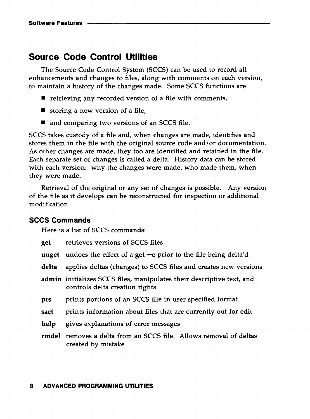#### Source Code Control Utilities

The Source Code Control System (SCCS) can be used to record all enhancements and changes to files, along with comments on each version, to maintain a history of the changes made. Some SCCS functions are

- $\blacksquare$  retrieving any recorded version of a file with comments,
- $\blacksquare$  storing a new version of a file,
- $\blacksquare$  and comparing two versions of an SCCS file.

SCCS takes custody of a file and, when changes are made, identifies and stores them in the file with the original source code and/or documentation. As other changes are made, they too are identified and retained in the file. Each separate set of changes is called a delta. History data can be stored with each version: why the changes were made, who made them, when they were made.

Retrieval of the original or any set of changes is possible. Any version of the file as it develops can be reconstructed for inspection or additional modification.

#### SCCS Commands

Here is a list of SCCS commands:

| get   | retrieves versions of SCCS files                                                                        |
|-------|---------------------------------------------------------------------------------------------------------|
|       | unget undoes the effect of a get $-e$ prior to the file being delta'd                                   |
| delta | applies deltas (changes) to SCCS files and creates new versions                                         |
|       | admin initializes SCCS files, manipulates their descriptive text, and<br>controls delta creation rights |
| prs   | prints portions of an SCCS file in user specified format                                                |
| sact  | prints information about files that are currently out for edit                                          |
| help  | gives explanations of error messages                                                                    |
| rmdel | removes a delta from an SCCS file. Allows removal of deltas<br>created by mistake                       |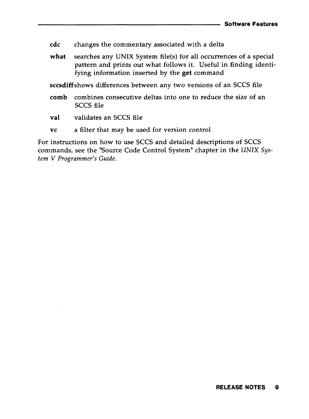- cdc changes the commentary associated with a delta
- what searches any UNIX System file(s) for all occurrences of a special pattern and prints out what follows it. Useful in finding identifying information inserted by the get command

sccsdiffshows differences between any two versions of an SCCS file

- comb combines consecutive deltas into one to reduce the size of an SCCS file
- val validates an SCCS file
- vc a filter that may be used for version control

For instructions on how to use SCCS and detailed descriptions of SCCS commands, see the "Source Code Control System" chapter in the *UNIX System V Programmer's Guide.*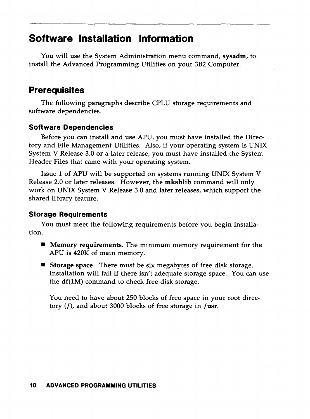# **Software Installation Information**

You will use the System Administration menu command, sysadm, to install the Advanced Programming Utilities on your 3B2 Computer.

## **Prerequisites**

The following paragraphs describe CPLU storage requirements and software dependencies.

#### **Software Dependencies**

Before you can install and use APU, you must have installed the Directory and File Management Utilities. Also, if your operating system is UNIX System V Release 3.0 or a later release, you must have installed the System Header Files that came with your operating system.

Issue 1 of APU will be supported on systems running UNIX System V Release 2.0 or later releases. However, the mkshlib command will only work on UNIX System V Release 3.0 and later releases, which support the shared library feature.

#### **Storage Requirements**

You must meet the following requirements before you begin installation.

- **E** Memory requirements. The minimum memory requirement for the APU is 420K of main memory .
- **E** Storage space. There must be six megabytes of free disk storage. Installation will fail if there isn't adequate storage space. You can use the  $df(1M)$  command to check free disk storage.

You need to have about 250 blocks of free space in your root directory  $(1)$ , and about 3000 blocks of free storage in /usr.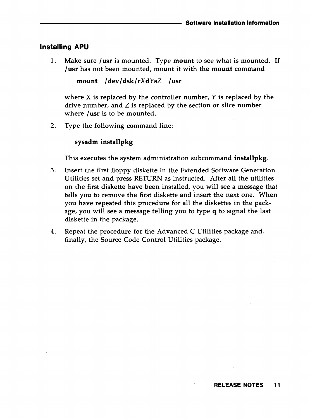#### Installing APU

1. Make sure / $usr$  is mounted. Type mount to see what is mounted. If lusr has not been mounted, mount it with the mount command

mount *Idev/dsk/cXdYsZ* lusr

where  $X$  is replaced by the controller number,  $Y$  is replaced by the drive number, and Z is replaced by the section or slice number where  $\ell$ usr is to be mounted.

2. Type the following command line:

#### sysadm installpkg

This executes the system administration subcommand installpkg.

- 3. Insert the first floppy diskette in the Extended Software Generation Utilities set and press RETURN as instructed. After all the utilities on the first diskette have been installed, you will see a message that tells you to remove the first diskette and insert the next one. When you have repeated this procedure for all the diskettes in the package, you will see a message telling you to type q to signal the last diskette in the package.
- 4. Repeat the procedure for the Advanced C Utilities package and, finally, the Source Code Control Utilities package.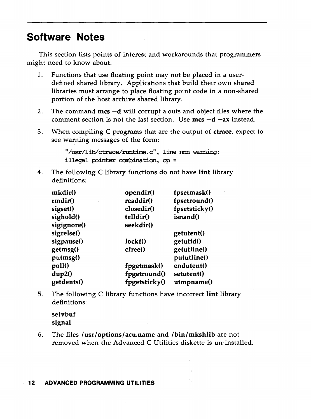# **Software Notes**

This section lists points of interest and workarounds that programmers might need to know about.

- 1. Functions that use floating point may not be placed in a userdefined shared library. Applications that build their own shared libraries must arrange to place floating point code in a non-shared portion of the host archive shared library.
- 2. The command  $mcs d$  will corrupt a.outs and object files where the comment section is not the last section. Use  $mcs - d - ax$  instead.
- 3. When compiling C programs that are the output of ctrace, expect to see warning messages of the form:

"/usr/lib/ctrace/runtime.c", line nnm warning: illegal pointer canbination, op =

4. The following C library functions do not have lint library definitions:

| mkdir()     | opendir()     | fpsetmask()   |
|-------------|---------------|---------------|
| rmdir()     | readdir()     | fpsetround()  |
| sigset()    | closedir()    | fpsetsticky() |
| sighold()   | telldir()     | isnand()      |
| sigignore() | seekdir()     |               |
| sigrelse()  |               | getutent()    |
| sigpause()  | lockf()       | getutid()     |
| getmsg()    | cfree()       | getutline()   |
| putmsg()    |               | pututline()   |
| poll()      | fpgetmask()   | endutent()    |
| dup2()      | fpgetround()  | setutent()    |
| getdents()  | fpgetsticky() | utmpname()    |

5. The following C library functions have incorrect lint library definitions:

setvbuf signal

6. The files /usr/options/acu.name and /bin/mkshlib are not removed when the Advanced C Utilities diskette is un-installed.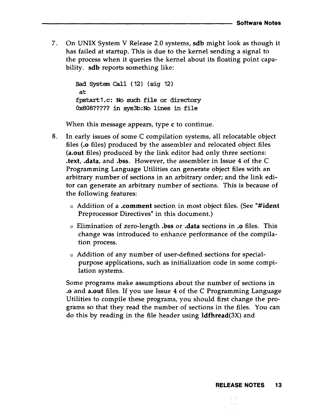7. On UNIX System V Release 2.0 systems, sdb might look as though it has failed at startup. This is due to the kernel sending a signal to the process when it queries the kernel about its floating point capability. sdb reports something like:

```
Bad System Call (12) (sig 12) 
 at 
fpstart1.c: No such file or directory 
Ox808????? in sys3b:No lines in file
```
When this message appears, type c to continue.

- 8. In early issues of some C compilation systems, all relocatable object files (.0 files) produced by the assembler and relocated object files (a.out files) produced by the link editor had only three sections: .text, .data, and .bss. However, the assembler in Issue 4 of the C Programming Language Utilities can generate object files with an arbitrary number of sections in an arbitrary order; and the link editor can generate an arbitrary number of sections. This is because of the following features:
	- o Addition of a .comment section in most object files. (See "#ident Preprocessor Directives" in this document.)
	- o Elimination of zero-length .bss or .data sections in.o files. This change was introduced to enhance performance of the compilation process.
	- o Addition of any number of user-defined sections for specialpurpose applications, such as initialization code in some compilation systems.

Some programs make assumptions about the number of sections in .0 and a.out files. If you use Issue 4 of the C Programming Language Utilities to compile these programs, you should first change the programs so that they read the number of sections in the files. You can do this by reading in the file header using  $ldf$ hread $(3X)$  and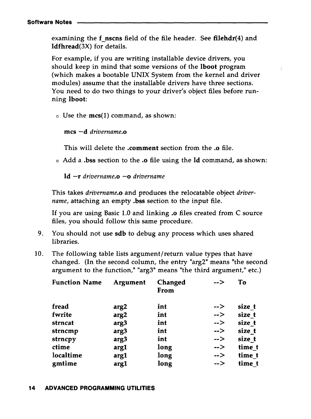examining the f nscns field of the file header. See filehdr(4) and Idfhread(3X) for details.

For example, if you are writing installable device drivers, you should keep in mind that some versions of the lboot program (which makes a bootable UNIX System from the kernel and driver modules) assume that the installable drivers have three sections. You need to do two things to your driver's object files before running lboot:

 $D$  Dse the mcs(1) command, as shown:

mcs -d *drivername.o* 

This will delete the .comment section from the .0 file.

 $\circ$  Add a .bss section to the .o file using the ld command, as shown:

ld -r *drivername.o* -0 *drivername* 

This takes *drivername.o* and produces the relocatable object *drivername,* attaching an empty .bss section to the input file.

If you are using Basic 1.0 and linking .0 files created from C source files, you should follow this same procedure.

- 9. You should not use sdb to debug any process which uses shared libraries.
- 10. The following table lists argument/return value types that have changed. (In the second column, the entry "arg2" means "the second argument to the function," "arg3" means "the third argument," etc.)

| <b>Function Name</b> | Argument         | Changed<br>From | -->           | To     |
|----------------------|------------------|-----------------|---------------|--------|
| fread                | arg <sub>2</sub> | int             | -->           | size t |
| fwrite               | arg2             | int             | $\rightarrow$ | size t |
| strncat              | arg3             | int             | $\rightarrow$ | size t |
| strncmp              | arg3             | int             | $\rightarrow$ | size_t |
| strncpy              | arg3             | int             | -->           | size t |
| ctime                | arg1             | long            | -->           | time t |
| localtime            | arg1             | long            | $\rightarrow$ | time_t |
| gmtime               | arg1             | long            | $\rightarrow$ | time_t |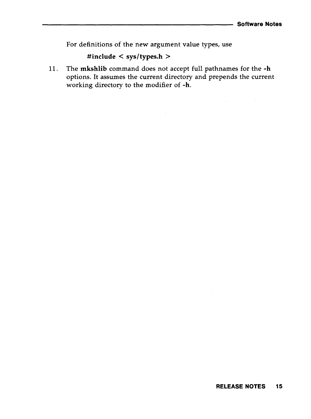For definitions of the new argument value types, use

#### **#include < sys/types.h** >

11. The **mkshlib** command does not accept full path names for the **-h**  options. It assumes the current directory and prepends the current working directory to the modifier of -h.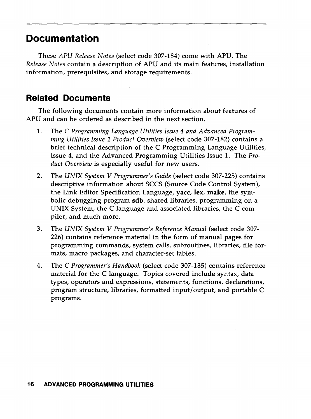## **Documentation**

These *APU Release Notes* (select code 307-184) come with APU. The *Release Notes* contain a description of APU and its main features, installation information, prerequisites, and storage requirements.

## **Related Documents**

The following documents contain more information about features of APU and can be ordered as described in the next section.

- 1. The C *Programming Language Utilities Issue* 4 *and Advanced Programming Utilities Issue* 1 *Product Overview* (select code 307-182) contains a brief technical description of the C Programming Language Utilities, Issue 4, and the Advanced Programming Utilities Issue 1. The *Product Overview* is especially useful for new users.
- 2. The *UNIX System V Programmer's Guide* (select code 307-225) contains descriptive information about SCCS (Source Code Control System), the Link Editor Specification Language, yace, **lex, make,** the symbolic debugging program **sdb,** shared libraries, programming on a UNIX System, the C language and associated libraries, the C compiler, and much more.
- 3. The *UNIX System V Programmer's Reference Manual* (select code 307- 226) contains reference material in the form of manual pages for programming commands, system calls, subroutines, libraries, file formats, macro packages, and character-set tables.
- 4. The C *Programmer's Handbook* (select code 307-135) contains reference material for the C language. Topics covered include syntax, data types, operators and expressions, statements, functions, declarations, program structure, libraries, formatted input/output, and portable C programs.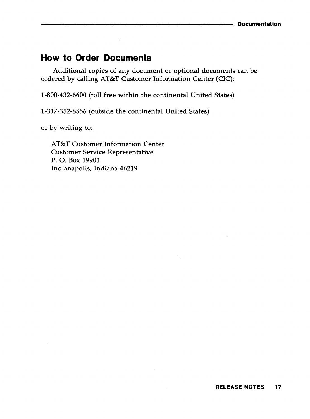## **How to Order Documents**

Additional copies of any document or optional documents can be ordered by calling AT&T Customer Information Center (CIC):

1-800-432-6600 (toll free within the continental United States)

1-317-352-8556 (outside the continental United States)

or by writing to:

AT&T Customer Information Center Customer Service Representative P. O. Box 19901 Indianapolis, Indiana 46219